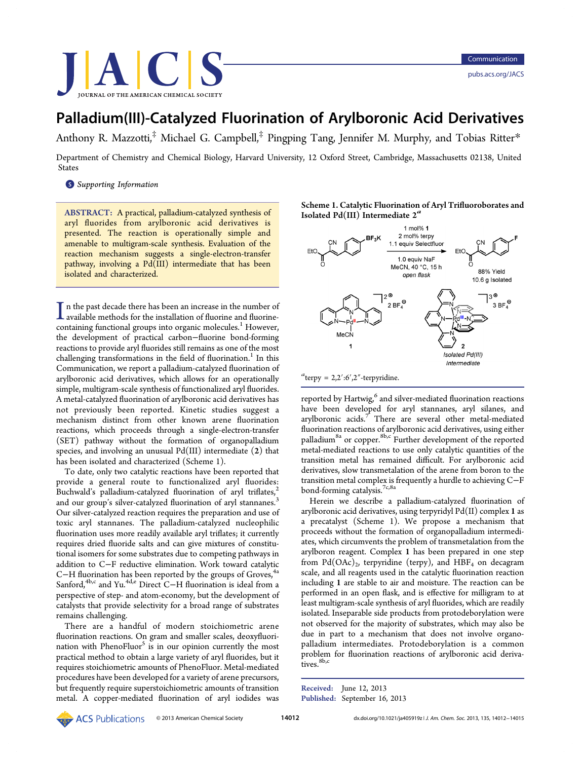

# Palladium(III)-Catalyzed Fluorination of Arylboronic Acid Derivatives

Anthony R. Mazzotti, $^{\ddagger}$  Michael G. Campbell, $^{\ddagger}$  Pingping Tang, Jennifer M. Murphy, and Tobias Ritter $*$ 

Department of Chemistry [an](#page-3-0)d Chemical Biology, Harva[rd](#page-3-0) University, 12 Oxford Street, Cambridge, Massachusetts 02138, Unit[ed](#page-3-0) States

**S** Supporting Information

[AB](#page-3-0)STRACT: [A](#page-3-0) [practical,](#page-3-0) [pa](#page-3-0)lladium-catalyzed synthesis of aryl fluorides from arylboronic acid derivatives is presented. The reaction is operationally simple and amenable to multigram-scale synthesis. Evaluation of the reaction mechanism suggests a single-electron-transfer pathway, involving a Pd(III) intermediate that has been isolated and characterized.

 $\prod$ n the past decade there has been an increase in the number of available methods for the installation of fluorine and fluorine-<br>containing functional groups into agree melocular  $\frac{1}{2}$ . However, In the past decade there has been an increase in the number of containing functional groups into organic molecules.<sup>1</sup> However, the development of practical carbon−fluorine bond-forming reactions to provide aryl fluorides still remains as one [o](#page-3-0)f the most challenging transformations in the field of fluorination.<sup>1</sup> In this Communication, we report a palladium-catalyzed fluorination of arylboronic acid derivatives, which allows for an oper[at](#page-3-0)ionally simple, multigram-scale synthesis of functionalized aryl fluorides. A metal-catalyzed fluorination of arylboronic acid derivatives has not previously been reported. Kinetic studies suggest a mechanism distinct from other known arene fluorination reactions, which proceeds through a single-electron-transfer (SET) pathway without the formation of organopalladium species, and involving an unusual  $Pd(III)$  intermediate  $(2)$  that has been isolated and characterized (Scheme 1).

To date, only two catalytic reactions have been reported that provide a general route to functionalized aryl fluorides: Buchwald's palladium-catalyzed fluorination of aryl triflates, $\zeta$ and our group's silver-catalyzed fluorination of aryl stannanes.<sup>3</sup> Our silver-catalyzed reaction requires the preparation and use [of](#page-3-0) toxic aryl stannanes. The palladium-catalyzed nucleophili[c](#page-3-0) fluorination uses more readily available aryl triflates; it currently requires dried fluoride salts and can give mixtures of constitutional isomers for some substrates due to competing pathways in addition to C−F reductive elimination. Work toward catalytic C−H fluorination has been reported by the groups of Groves, $4a$ Sanford,<sup>4b,c</sup> and Yu.<sup>4d,e</sup> Direct C−H fluorination is ideal from a perspective of step- and atom-economy, but the development [of](#page-3-0) catalysts [tha](#page-3-0)t provi[de s](#page-3-0)electivity for a broad range of substrates remains challenging.

There are a handful of modern stoichiometric arene fluorination reactions. On gram and smaller scales, deoxyfluorination with PhenoFluor<sup>5</sup> is in our opinion currently the most practical method to obtain a large variety of aryl fluorides, but it requires stoichiometric a[m](#page-3-0)ounts of PhenoFluor. Metal-mediated procedures have been developed for a variety of arene precursors, but frequently require superstoichiometric amounts of transition metal. A copper-mediated fluorination of aryl iodides was

Scheme 1. Catalytic Fluorination of Aryl Trifluoroborates and Isolated Pd(III) Intermediate  $2^a$ 



reported by Hartwig, $6$  and silver-mediated fluorination reactions have been developed for aryl stannanes, aryl silanes, and arylboronic acids.<sup>7</sup> [T](#page-3-0)here are several other metal-mediated fluorination reactions of arylboronic acid derivatives, using either palladium<sup>8a</sup> or co[pp](#page-3-0)er.<sup>8b,c</sup> Further development of the reported metal-mediated reactions to use only catalytic quantities of the transition [m](#page-3-0)etal has [rem](#page-3-0)ained difficult. For arylboronic acid derivatives, slow transmetalation of the arene from boron to the transition metal complex is frequently a hurdle to achieving C−F bond-forming catalysis.<sup>7c,8a</sup>

Herein we describe a palladium-catalyzed fluorination of arylboronic acid derivat[ives,](#page-3-0) using terpyridyl Pd(II) complex 1 as a precatalyst (Scheme 1). We propose a mechanism that proceeds without the formation of organopalladium intermediates, which circumvents the problem of transmetalation from the arylboron reagent. Complex 1 has been prepared in one step from  $Pd(OAc)_2$ , terpyridine (terpy), and  $HBF_4$  on decagram scale, and all reagents used in the catalytic fluorination reaction including 1 are stable to air and moisture. The reaction can be performed in an open flask, and is effective for milligram to at least multigram-scale synthesis of aryl fluorides, which are readily isolated. Inseparable side products from protodeborylation were not observed for the majority of substrates, which may also be due in part to a mechanism that does not involve organopalladium intermediates. Protodeborylation is a common problem for fluorination reactions of arylboronic acid derivatives. 8b,c

Rece[ived](#page-3-0): June 12, 2013 Published: September 16, 2013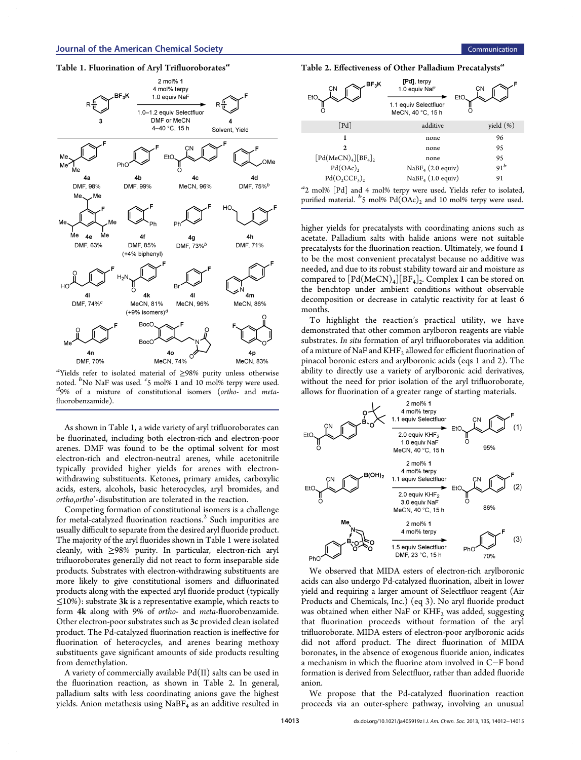

a Yields refer to isolated material of ≥98% purity unless otherwise noted. B No NaF was used.  $\frac{c}{5}$  mol% 1 and 10 mol% terpy were used.<br> $\frac{d_{9\%}}{d_{9\%}}$  of a mixture of constitutional isomers (ortho- and meta- ${}^{d}9\%$  of a mixture of constitutional isomers (ortho- and metafluorobenzamide).

As shown in Table 1, a wide variety of aryl trifluoroborates can be fluorinated, including both electron-rich and electron-poor arenes. DMF was found to be the optimal solvent for most electron-rich and electron-neutral arenes, while acetonitrile typically provided higher yields for arenes with electronwithdrawing substituents. Ketones, primary amides, carboxylic acids, esters, alcohols, basic heterocycles, aryl bromides, and ortho,ortho′-disubstitution are tolerated in the reaction.

Competing formation of constitutional isomers is a challenge for metal-catalyzed fluorination reactions.<sup>2</sup> Such impurities are usually difficult to separate from the desired aryl fluoride product. The majority of the aryl fluorides shown i[n T](#page-3-0)able 1 were isolated cleanly, with ≥98% purity. In particular, electron-rich aryl trifluoroborates generally did not react to form inseparable side products. Substrates with electron-withdrawing substituents are more likely to give constitutional isomers and difluorinated products along with the expected aryl fluoride product (typically  $\leq$ 10%): substrate 3k is a representative example, which reacts to form 4k along with 9% of ortho- and meta-fluorobenzamide. Other electron-poor substrates such as 3c provided clean isolated product. The Pd-catalyzed fluorination reaction is ineffective for fluorination of heterocycles, and arenes bearing methoxy substituents gave significant amounts of side products resulting from demethylation.

A variety of commercially available  $Pd(II)$  salts can be used in the fluorination reaction, as shown in Table 2. In general, palladium salts with less coordinating anions gave the highest yields. Anion metathesis using  $NaBF_4$  as an additive resulted in

Table 2. Effectiveness of Other Palladium Precatalysts<sup>a</sup>



<sup>a</sup>2 mol% [Pd] and 4 mol% terpy were used. Yields refer to isolated, purified material.  $\frac{b}{2}$  mol%  $Pd(OAc)_2$  and 10 mol% terpy were used.

higher yields for precatalysts with coordinating anions such as acetate. Palladium salts with halide anions were not suitable precatalysts for the fluorination reaction. Ultimately, we found 1 to be the most convenient precatalyst because no additive was needed, and due to its robust stability toward air and moisture as compared to  $[\text{Pd}(\text{MeCN})_4][\text{BF}_4]_2$ . Complex 1 can be stored on the benchtop under ambient conditions without observable decomposition or decrease in catalytic reactivity for at least 6 months.

To highlight the reaction's practical utility, we have demonstrated that other common arylboron reagents are viable substrates. In situ formation of aryl trifluoroborates via addition of a mixture of NaF and  $KHF_2$  allowed for efficient fluorination of pinacol boronic esters and arylboronic acids (eqs 1 and 2). The ability to directly use a variety of arylboronic acid derivatives, without the need for prior isolation of the aryl trifluoroborate, allows for fluorination of a greater range of starting materials.



We observed that MIDA esters of electron-rich arylboronic acids can also undergo Pd-catalyzed fluorination, albeit in lower yield and requiring a larger amount of Selectfluor reagent (Air Products and Chemicals, Inc.) (eq 3). No aryl fluoride product was obtained when either NaF or  $KHF_2$  was added, suggesting that fluorination proceeds without formation of the aryl trifluoroborate. MIDA esters of electron-poor arylboronic acids did not afford product. The direct fluorination of MIDA boronates, in the absence of exogenous fluoride anion, indicates a mechanism in which the fluorine atom involved in C−F bond formation is derived from Selectfluor, rather than added fluoride anion.

We propose that the Pd-catalyzed fluorination reaction proceeds via an outer-sphere pathway, involving an unusual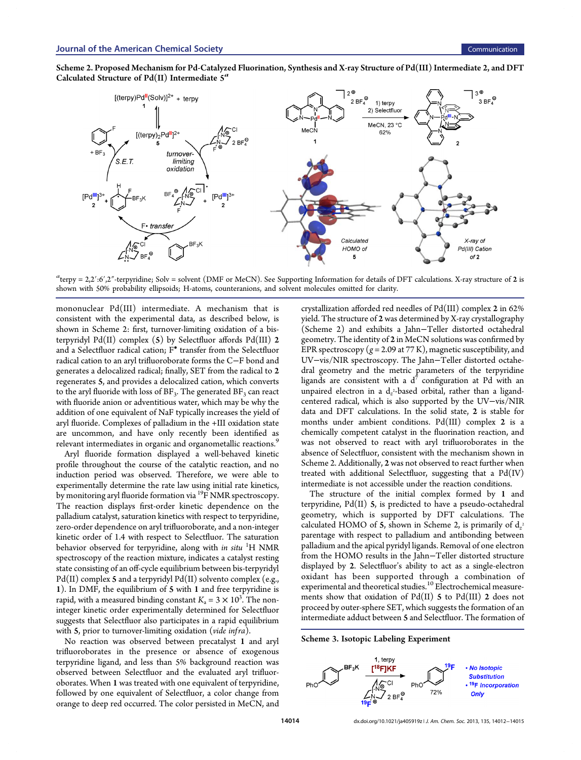<span id="page-2-0"></span>



 $a_{\text{terpy}} = 2.2$ ':6',2"-terpyridine; Solv = solvent (DMF or MeCN). See Supporting Information for details of DFT calculations. X-ray structure of 2 is shown with 50% probability ellipsoids; H-atoms, counteranions, and solvent molecules omitted for clarity.

mononuclear Pd(III) intermediate. A mechanism that is consistent with the experimental data, as described below, is shown in Scheme 2: first, turnover-limiting oxidation of a bisterpyridyl Pd(II) complex  $(5)$  by Selectfluor affords Pd(III) 2 and a Selectfluor radical cation; F• transfer from the Selectfluor radical cation to an aryl trifluoroborate forms the C−F bond and generates a delocalized radical; finally, SET from the radical to 2 regenerates 5, and provides a delocalized cation, which converts to the aryl fluoride with loss of  $BF_3$ . The generated  $BF_3$  can react with fluoride anion or adventitious water, which may be why the addition of one equivalent of NaF typically increases the yield of aryl fluoride. Complexes of palladium in the +III oxidation state are uncommon, and have only recently been identified as relevant intermediates in organic and organometallic reactions.<sup>9</sup>

Aryl fluoride formation displayed a well-behaved kinetic profile throughout the course of the catalytic reaction, and n[o](#page-3-0) induction period was observed. Therefore, we were able to experimentally determine the rate law using initial rate kinetics, by monitoring aryl fluoride formation via <sup>19</sup>F NMR spectroscopy. The reaction displays first-order kinetic dependence on the palladium catalyst, saturation kinetics with respect to terpyridine, zero-order dependence on aryl trifluoroborate, and a non-integer kinetic order of 1.4 with respect to Selectfluor. The saturation behavior observed for terpyridine, along with *in situ* <sup>1</sup>H NMR spectroscopy of the reaction mixture, indicates a catalyst resting state consisting of an off-cycle equilibrium between bis-terpyridyl  $Pd(II)$  complex 5 and a terpyridyl  $Pd(II)$  solvento complex (e.g., 1). In DMF, the equilibrium of 5 with 1 and free terpyridine is rapid, with a measured binding constant  $K_a = 3 \times 10^3$ . The noninteger kinetic order experimentally determined for Selectfluor suggests that Selectfluor also participates in a rapid equilibrium with  $5$ , prior to turnover-limiting oxidation (vide infra).

No reaction was observed between precatalyst 1 and aryl trifluoroborates in the presence or absence of exogenous terpyridine ligand, and less than 5% background reaction was observed between Selectfluor and the evaluated aryl trifluoroborates. When 1 was treated with one equivalent of terpyridine, followed by one equivalent of Selectfluor, a color change from orange to deep red occurred. The color persisted in MeCN, and

[crystallization](#page-3-0) [a](#page-3-0)fforded red needles of Pd(III) complex 2 in 62% yield. The structure of 2 was determined by X-ray crystallography (Scheme 2) and exhibits a Jahn−Teller distorted octahedral geometry. The identity of 2 in MeCN solutions was confirmed by EPR spectroscopy ( $g = 2.09$  at 77 K), magnetic susceptibility, and UV−vis/NIR spectroscopy. The Jahn−Teller distorted octahedral geometry and the metric parameters of the terpyridine ligands are consistent with a  $d^7$  configuration at Pd with an unpaired electron in a d $_z$ -based orbital, rather than a ligandcentered radical, which is also supported by the UV−vis/NIR data and DFT calculations. In the solid state, 2 is stable for months under ambient conditions. Pd(III) complex 2 is a chemically competent catalyst in the fluorination reaction, and was not observed to react with aryl trifluoroborates in the absence of Selectfluor, consistent with the mechanism shown in Scheme 2. Additionally, 2 was not observed to react further when treated with additional Selectfluor, suggesting that a  $Pd(IV)$ intermediate is not accessible under the reaction conditions.

The structure of the initial complex formed by 1 and terpyridine,  $Pd(II)$  5, is predicted to have a pseudo-octahedral geometry, which is supported by DFT calculations. The calculated HOMO of 5, shown in Scheme 2, is primarily of  $d_{z^2}$ parentage with respect to palladium and antibonding between palladium and the apical pyridyl ligands. Removal of one electron from the HOMO results in the Jahn−Teller distorted structure displayed by 2. Selectfluor's ability to act as a single-electron oxidant has been supported through a combination of experimental and theoretical studies.<sup>10</sup> Electrochemical measurements show that oxidation of  $Pd(II)$  5 to  $Pd(III)$  2 does not proceed by outer-sphere SET, which [su](#page-3-0)ggests the formation of an intermediate adduct between 5 and Selectfluor. The formation of